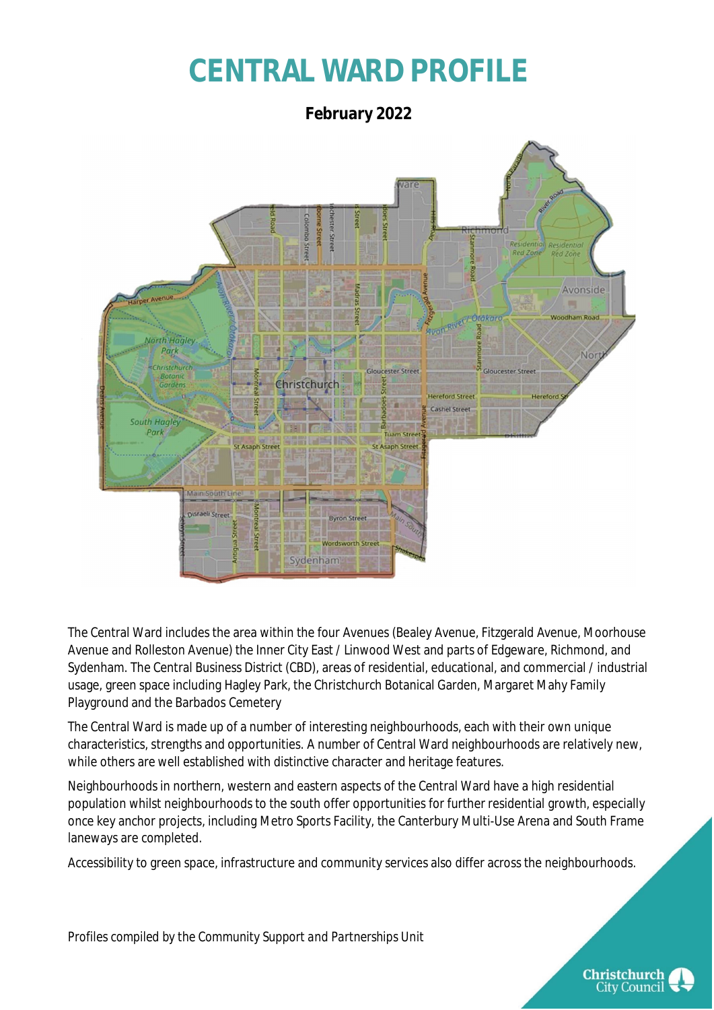# **CENTRAL WARD PROFILE**

**February 2022** Residentia Stre **Red Zone Red Zone** Avonside Woodham Road **North Haaley** Park Nor **Christchurch Gloucester Street Gloucester Street** Christchurch Gardens **Hereford Street** Hereford H Cashel Street South Hagley Park am Ctri St Asaph Street St Asaph Street nisraeli ce-**Byron Stree Wordsworth Street** 

The Central Ward includes the area within the four Avenues (Bealey Avenue, Fitzgerald Avenue, Moorhouse Avenue and Rolleston Avenue) the Inner City East / Linwood West and parts of Edgeware, Richmond, and Sydenham. The Central Business District (CBD), areas of residential, educational, and commercial / industrial usage, green space including Hagley Park, the Christchurch Botanical Garden, Margaret Mahy Family Playground and the Barbados Cemetery

Sydenham

The Central Ward is made up of a number of interesting neighbourhoods, each with their own unique characteristics, strengths and opportunities. A number of Central Ward neighbourhoods are relatively new, while others are well established with distinctive character and heritage features.

Neighbourhoods in northern, western and eastern aspects of the Central Ward have a high residential population whilst neighbourhoods to the south offer opportunities for further residential growth, especially once key anchor projects, including Metro Sports Facility, the Canterbury Multi-Use Arena and South Frame laneways are completed.

Accessibility to green space, infrastructure and community services also differ across the neighbourhoods.

*Profiles compiled by the Community Support and Partnerships Unit*

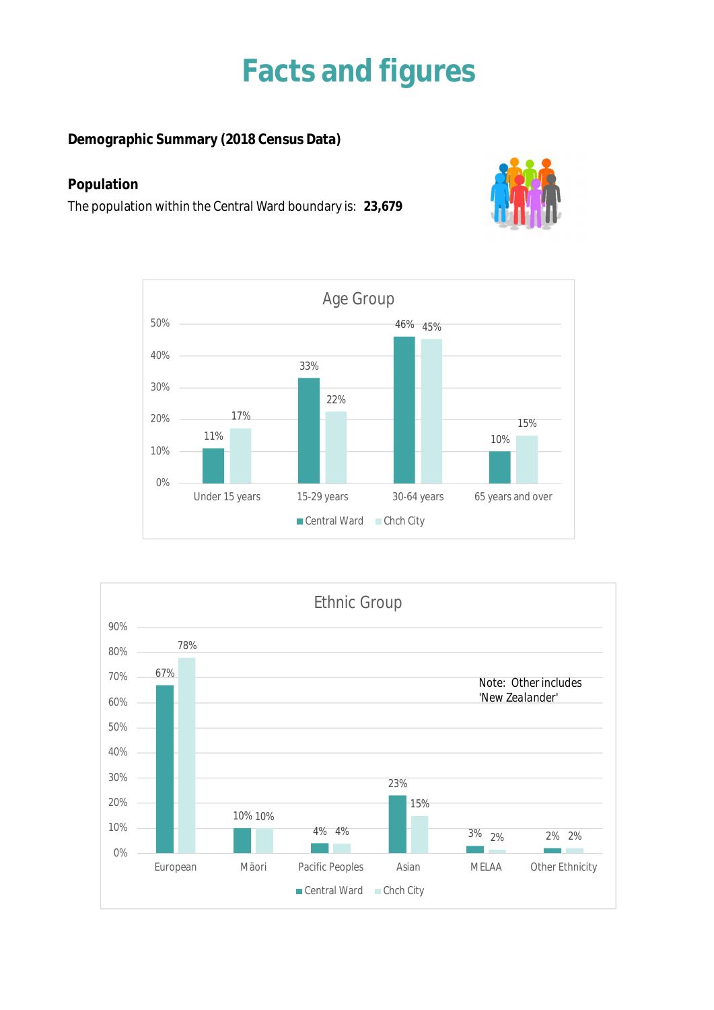### **Facts and figures**

**Demographic Summary (2018 Census Data)**

### **Population**

The population within the Central Ward boundary is: **23,679**





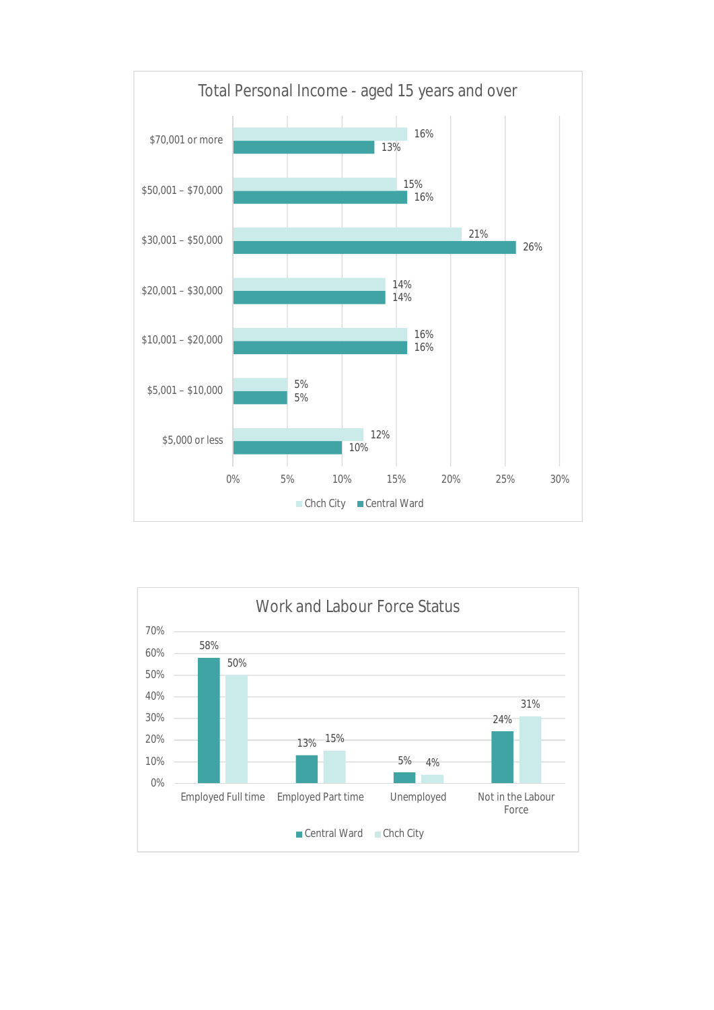

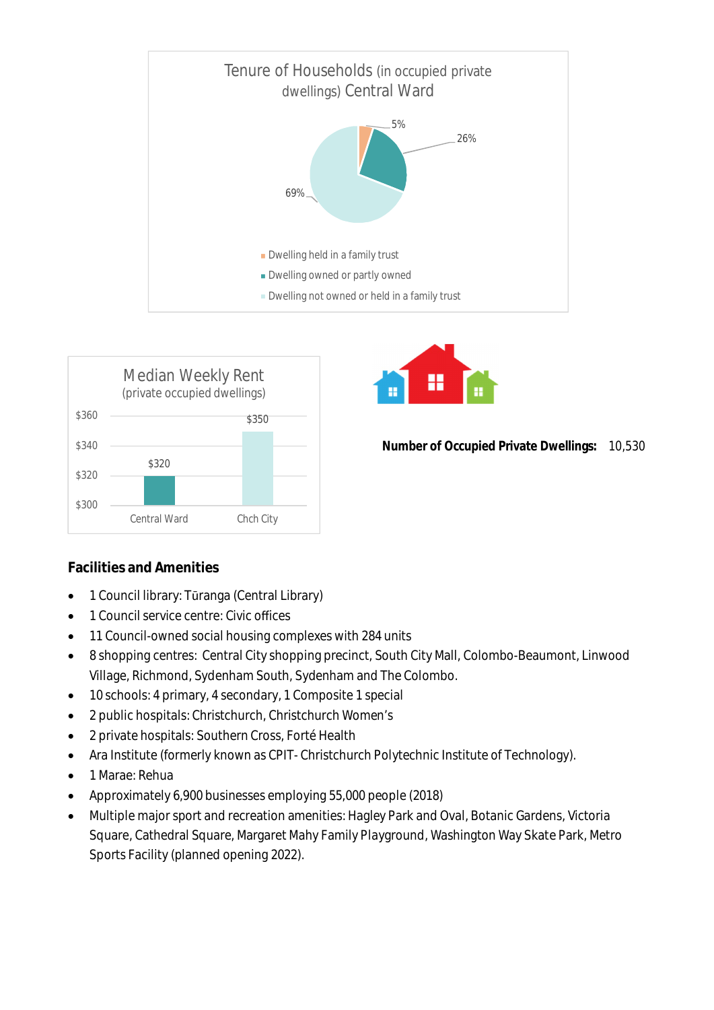





**Number of Occupied Private Dwellings:** 10,530

### **Facilities and Amenities**

- 1 Council library: Tūranga (Central Library)
- 1 Council service centre: Civic offices
- 11 Council-owned social housing complexes with 284 units
- 8 shopping centres: Central City shopping precinct, South City Mall, Colombo-Beaumont, Linwood Village, Richmond, Sydenham South, Sydenham and The Colombo.
- 10 schools: 4 primary, 4 secondary, 1 Composite 1 special
- 2 public hospitals: Christchurch, Christchurch Women's
- 2 private hospitals: Southern Cross, Forté Health
- Ara Institute (formerly known as CPIT- Christchurch Polytechnic Institute of Technology).
- 1 Marae: Rehua
- Approximately 6,900 businesses employing 55,000 people (2018)
- Multiple major sport and recreation amenities: Hagley Park and Oval, Botanic Gardens, Victoria Square, Cathedral Square, Margaret Mahy Family Playground, Washington Way Skate Park, Metro Sports Facility (planned opening 2022).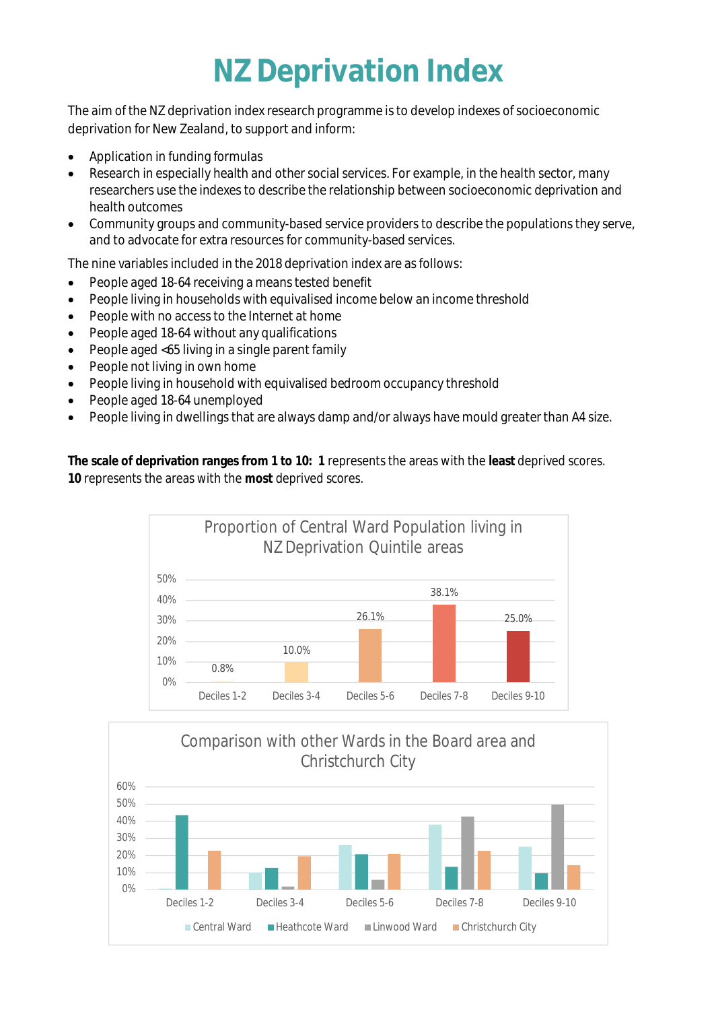# **NZ Deprivation Index**

The aim of the NZ deprivation index research programme is to develop indexes of socioeconomic deprivation for New Zealand, to support and inform:

- Application in funding formulas
- Research in especially health and other social services. For example, in the health sector, many researchers use the indexes to describe the relationship between socioeconomic deprivation and health outcomes
- Community groups and community-based service providers to describe the populations they serve, and to advocate for extra resources for community-based services.

The nine variables included in the 2018 deprivation index are as follows:

- People aged 18-64 receiving a means tested benefit
- People living in households with equivalised income below an income threshold
- People with no access to the Internet at home
- People aged 18-64 without any qualifications
- People aged <65 living in a single parent family
- People not living in own home
- People living in household with equivalised bedroom occupancy threshold
- People aged 18-64 unemployed
- People living in dwellings that are always damp and/or always have mould greater than A4 size.

**The scale of deprivation ranges from 1 to 10: 1** represents the areas with the **least** deprived scores. **10** represents the areas with the **most** deprived scores.



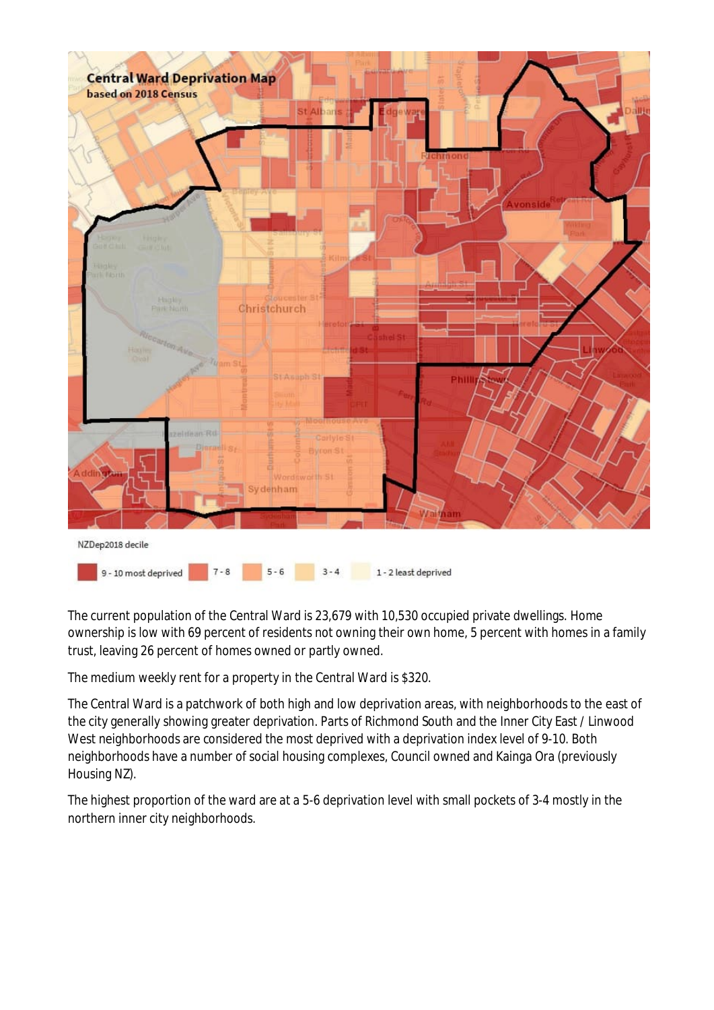

The current population of the Central Ward is 23,679 with 10,530 occupied private dwellings. Home ownership is low with 69 percent of residents not owning their own home, 5 percent with homes in a family trust, leaving 26 percent of homes owned or partly owned.

The medium weekly rent for a property in the Central Ward is \$320.

The Central Ward is a patchwork of both high and low deprivation areas, with neighborhoods to the east of the city generally showing greater deprivation. Parts of Richmond South and the Inner City East / Linwood West neighborhoods are considered the most deprived with a deprivation index level of 9-10. Both neighborhoods have a number of social housing complexes, Council owned and Kainga Ora (previously Housing NZ).

The highest proportion of the ward are at a 5-6 deprivation level with small pockets of 3-4 mostly in the northern inner city neighborhoods.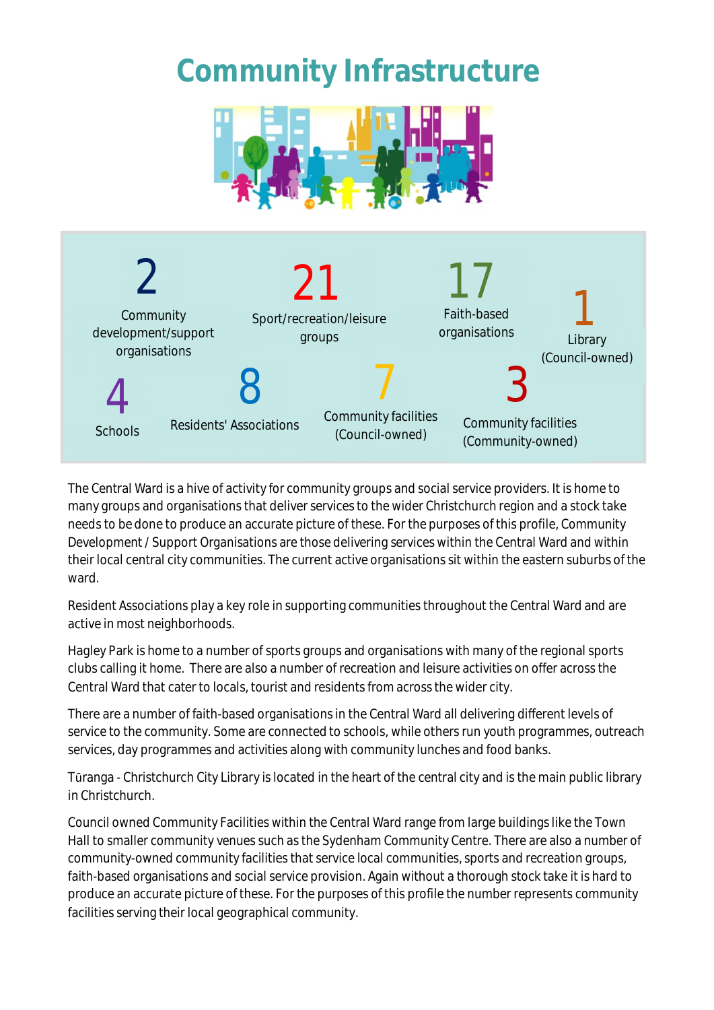## **Community Infrastructure**





The Central Ward is a hive of activity for community groups and social service providers. It is home to many groups and organisations that deliver services to the wider Christchurch region and a stock take needs to be done to produce an accurate picture of these. For the purposes of this profile, Community Development / Support Organisations are those delivering services within the Central Ward and within their local central city communities. The current active organisations sit within the eastern suburbs of the ward.

Resident Associations play a key role in supporting communities throughout the Central Ward and are active in most neighborhoods.

Hagley Park is home to a number of sports groups and organisations with many of the regional sports clubs calling it home. There are also a number of recreation and leisure activities on offer across the Central Ward that cater to locals, tourist and residents from across the wider city.

There are a number of faith-based organisations in the Central Ward all delivering different levels of service to the community. Some are connected to schools, while others run youth programmes, outreach services, day programmes and activities along with community lunches and food banks.

Tūranga - Christchurch City Library is located in the heart of the central city and is the main public library in Christchurch.

Council owned Community Facilities within the Central Ward range from large buildings like the Town Hall to smaller community venues such as the Sydenham Community Centre. There are also a number of community-owned community facilities that service local communities, sports and recreation groups, faith-based organisations and social service provision. Again without a thorough stock take it is hard to produce an accurate picture of these. For the purposes of this profile the number represents community facilities serving their local geographical community.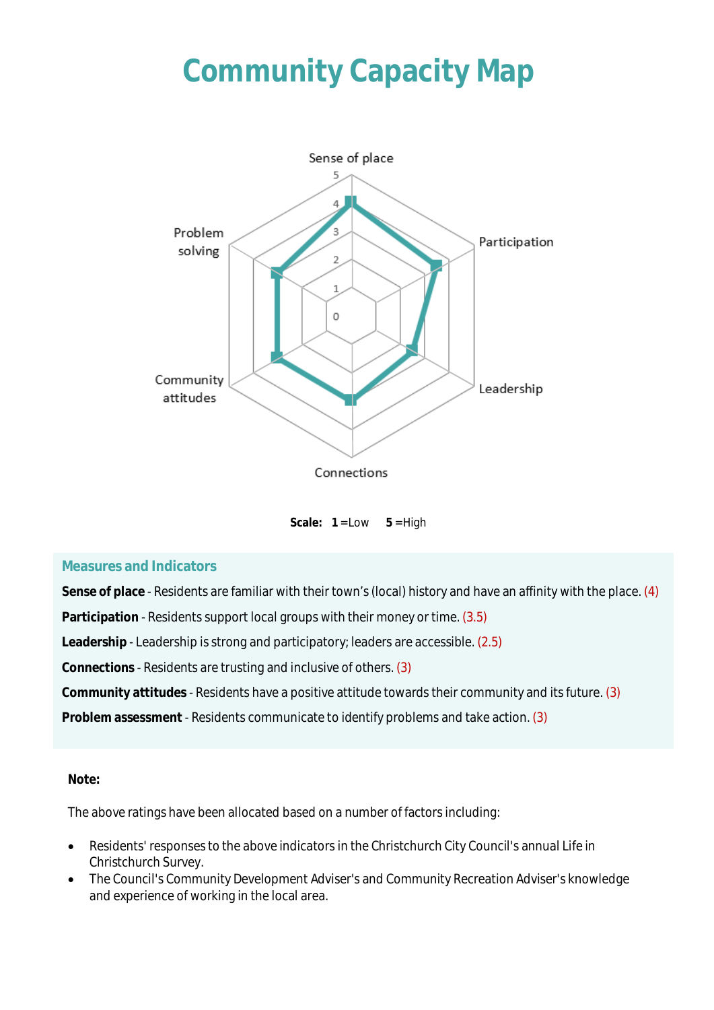# **Community Capacity Map**



Scale:  $1 = Low \t 5 = High$ 

#### **Measures and Indicators**

**Sense of place** - Residents are familiar with their town's (local) history and have an affinity with the place. (4)

**Participation** - Residents support local groups with their money or time. (3.5)

**Leadership** - Leadership is strong and participatory; leaders are accessible. (2.5)

**Connections** - Residents are trusting and inclusive of others. (3)

**Community attitudes** - Residents have a positive attitude towards their community and its future. (3)

**Problem assessment** - Residents communicate to identify problems and take action. (3)

#### **Note:**

The above ratings have been allocated based on a number of factors including:

- Residents' responses to the above indicators in the Christchurch City Council's annual Life in Christchurch Survey.
- The Council's Community Development Adviser's and Community Recreation Adviser's knowledge and experience of working in the local area.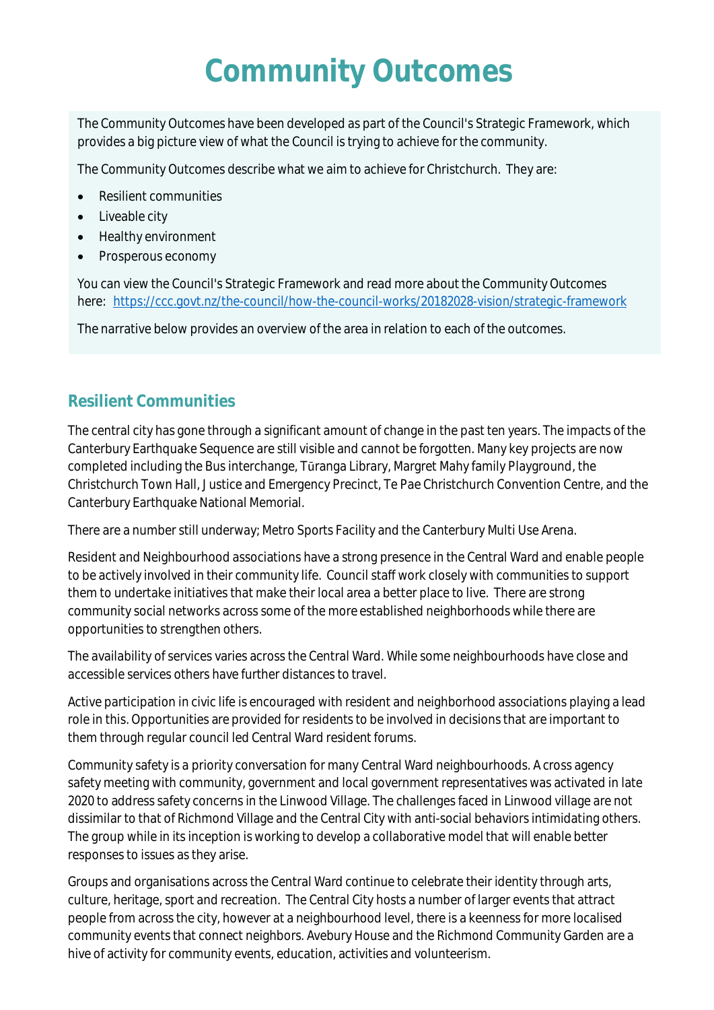## **Community Outcomes**

The Community Outcomes have been developed as part of the Council's Strategic Framework, which provides a big picture view of what the Council is trying to achieve for the community.

The Community Outcomes describe what we aim to achieve for Christchurch. They are:

- Resilient communities
- Liveable city
- Healthy environment
- Prosperous economy

You can view the Council's Strategic Framework and read more about the Community Outcomes here: <https://ccc.govt.nz/the-council/how-the-council-works/20182028-vision/strategic-framework>

The narrative below provides an overview of the area in relation to each of the outcomes.

### **Resilient Communities**

The central city has gone through a significant amount of change in the past ten years. The impacts of the Canterbury Earthquake Sequence are still visible and cannot be forgotten. Many key projects are now completed including the Bus interchange, Tūranga Library, Margret Mahy family Playground, the Christchurch Town Hall, Justice and Emergency Precinct, Te Pae Christchurch Convention Centre, and the Canterbury Earthquake National Memorial.

There are a number still underway; Metro Sports Facility and the Canterbury Multi Use Arena.

Resident and Neighbourhood associations have a strong presence in the Central Ward and enable people to be actively involved in their community life. Council staff work closely with communities to support them to undertake initiatives that make their local area a better place to live. There are strong community social networks across some of the more established neighborhoods while there are opportunities to strengthen others.

The availability of services varies across the Central Ward. While some neighbourhoods have close and accessible services others have further distances to travel.

Active participation in civic life is encouraged with resident and neighborhood associations playing a lead role in this. Opportunities are provided for residents to be involved in decisions that are important to them through regular council led Central Ward resident forums.

Community safety is a priority conversation for many Central Ward neighbourhoods. A cross agency safety meeting with community, government and local government representatives was activated in late 2020 to address safety concerns in the Linwood Village. The challenges faced in Linwood village are not dissimilar to that of Richmond Village and the Central City with anti-social behaviors intimidating others. The group while in its inception is working to develop a collaborative model that will enable better responses to issues as they arise.

Groups and organisations across the Central Ward continue to celebrate their identity through arts, culture, heritage, sport and recreation. The Central City hosts a number of larger events that attract people from across the city, however at a neighbourhood level, there is a keenness for more localised community events that connect neighbors. Avebury House and the Richmond Community Garden are a hive of activity for community events, education, activities and volunteerism.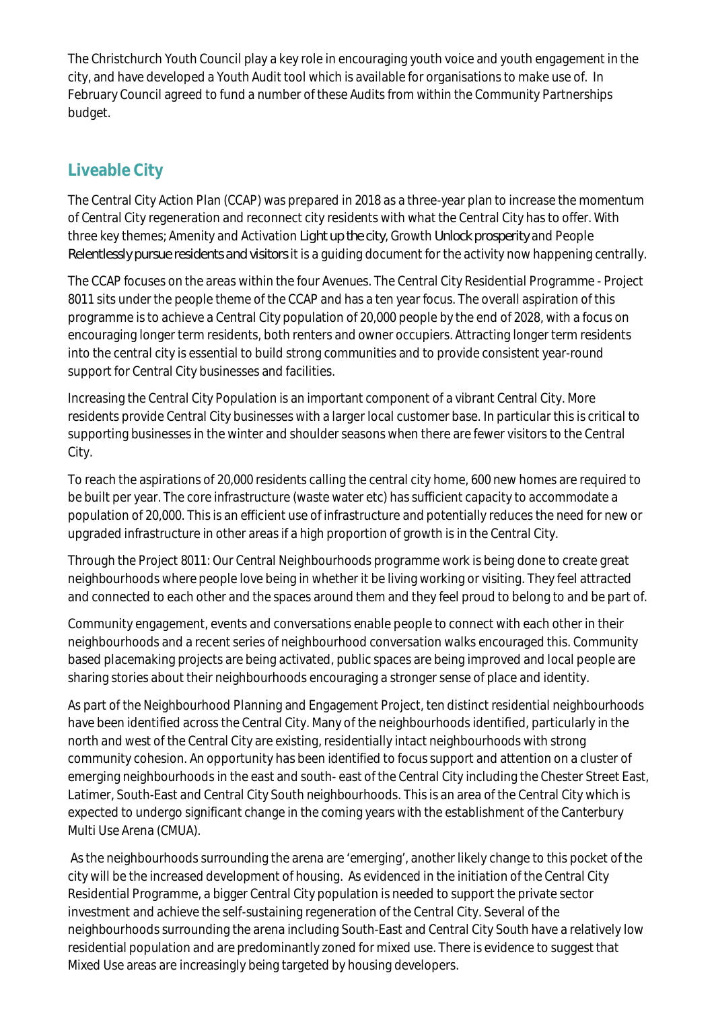The Christchurch Youth Council play a key role in encouraging youth voice and youth engagement in the city, and have developed a Youth Audit tool which is available for organisations to make use of. In February Council agreed to fund a number of these Audits from within the Community Partnerships budget.

### **Liveable City**

The Central City Action Plan (CCAP) was prepared in 2018 as a three-year plan to increase the momentum of Central City regeneration and reconnect city residents with what the Central City has to offer. With three key themes; Amenity and Activation *Light up the city*, Growth *Unlock prosperity* and People *Relentlessly pursue residents and visitors* it is a guiding document for the activity now happening centrally.

The CCAP focuses on the areas within the four Avenues. The Central City Residential Programme - Project 8011 sits under the people theme of the CCAP and has a ten year focus. The overall aspiration of this programme is to achieve a Central City population of 20,000 people by the end of 2028, with a focus on encouraging longer term residents, both renters and owner occupiers. Attracting longer term residents into the central city is essential to build strong communities and to provide consistent year-round support for Central City businesses and facilities.

Increasing the Central City Population is an important component of a vibrant Central City. More residents provide Central City businesses with a larger local customer base. In particular this is critical to supporting businesses in the winter and shoulder seasons when there are fewer visitors to the Central City.

To reach the aspirations of 20,000 residents calling the central city home, 600 new homes are required to be built per year. The core infrastructure (waste water etc) has sufficient capacity to accommodate a population of 20,000. This is an efficient use of infrastructure and potentially reduces the need for new or upgraded infrastructure in other areas if a high proportion of growth is in the Central City.

Through the Project 8011: Our Central Neighbourhoods programme work is being done to create great neighbourhoods where people love being in whether it be living working or visiting. They feel attracted and connected to each other and the spaces around them and they feel proud to belong to and be part of.

Community engagement, events and conversations enable people to connect with each other in their neighbourhoods and a recent series of neighbourhood conversation walks encouraged this. Community based placemaking projects are being activated, public spaces are being improved and local people are sharing stories about their neighbourhoods encouraging a stronger sense of place and identity.

As part of the Neighbourhood Planning and Engagement Project, ten distinct residential neighbourhoods have been identified across the Central City. Many of the neighbourhoods identified, particularly in the north and west of the Central City are existing, residentially intact neighbourhoods with strong community cohesion. An opportunity has been identified to focus support and attention on a cluster of emerging neighbourhoods in the east and south- east of the Central City including the Chester Street East, Latimer, South-East and Central City South neighbourhoods. This is an area of the Central City which is expected to undergo significant change in the coming years with the establishment of the Canterbury Multi Use Arena (CMUA).

 As the neighbourhoods surrounding the arena are 'emerging', another likely change to this pocket of the city will be the increased development of housing. As evidenced in the initiation of the Central City Residential Programme, a bigger Central City population is needed to support the private sector investment and achieve the self-sustaining regeneration of the Central City. Several of the neighbourhoods surrounding the arena including South-East and Central City South have a relatively low residential population and are predominantly zoned for mixed use. There is evidence to suggest that Mixed Use areas are increasingly being targeted by housing developers.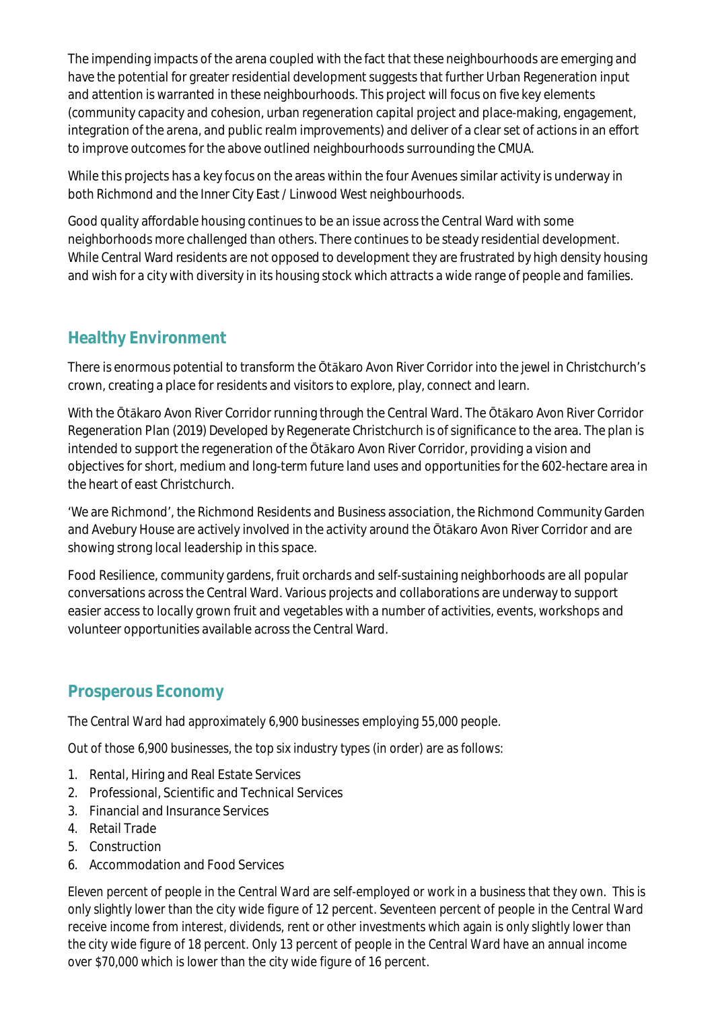The impending impacts of the arena coupled with the fact that these neighbourhoods are emerging and have the potential for greater residential development suggests that further Urban Regeneration input and attention is warranted in these neighbourhoods. This project will focus on five key elements (community capacity and cohesion, urban regeneration capital project and place-making, engagement, integration of the arena, and public realm improvements) and deliver of a clear set of actions in an effort to improve outcomes for the above outlined neighbourhoods surrounding the CMUA.

While this projects has a key focus on the areas within the four Avenues similar activity is underway in both Richmond and the Inner City East / Linwood West neighbourhoods.

Good quality affordable housing continues to be an issue across the Central Ward with some neighborhoods more challenged than others. There continues to be steady residential development. While Central Ward residents are not opposed to development they are frustrated by high density housing and wish for a city with diversity in its housing stock which attracts a wide range of people and families.

### **Healthy Environment**

There is enormous potential to transform the Ōtākaro Avon River Corridor into the jewel in Christchurch's crown, creating a place for residents and visitors to explore, play, connect and learn.

With the Ōtākaro Avon River Corridor running through the Central Ward. The Ōtākaro Avon River Corridor Regeneration Plan (2019) Developed by Regenerate Christchurch is of significance to the area. The plan is intended to support the regeneration of the Ōtākaro Avon River Corridor, providing a vision and objectives for short, medium and long-term future land uses and opportunities for the 602-hectare area in the heart of east Christchurch.

'We are Richmond', the Richmond Residents and Business association, the Richmond Community Garden and Avebury House are actively involved in the activity around the Ōtākaro Avon River Corridor and are showing strong local leadership in this space.

Food Resilience, community gardens, fruit orchards and self-sustaining neighborhoods are all popular conversations across the Central Ward. Various projects and collaborations are underway to support easier access to locally grown fruit and vegetables with a number of activities, events, workshops and volunteer opportunities available across the Central Ward.

### **Prosperous Economy**

The Central Ward had approximately 6,900 businesses employing 55,000 people.

Out of those 6,900 businesses, the top six industry types (in order) are as follows:

- 1. Rental, Hiring and Real Estate Services
- 2. Professional, Scientific and Technical Services
- 3. Financial and Insurance Services
- 4. Retail Trade
- 5. Construction
- 6. Accommodation and Food Services

Eleven percent of people in the Central Ward are self-employed or work in a business that they own. This is only slightly lower than the city wide figure of 12 percent. Seventeen percent of people in the Central Ward receive income from interest, dividends, rent or other investments which again is only slightly lower than the city wide figure of 18 percent. Only 13 percent of people in the Central Ward have an annual income over \$70,000 which is lower than the city wide figure of 16 percent.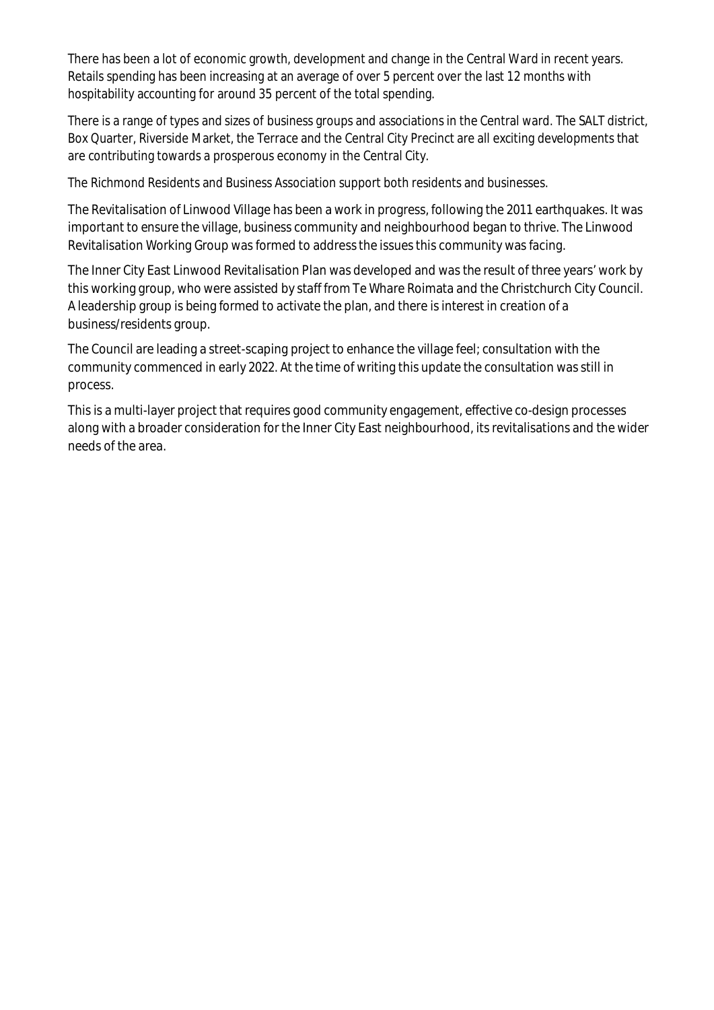There has been a lot of economic growth, development and change in the Central Ward in recent years. Retails spending has been increasing at an average of over 5 percent over the last 12 months with hospitability accounting for around 35 percent of the total spending.

There is a range of types and sizes of business groups and associations in the Central ward. The SALT district, Box Quarter, Riverside Market, the Terrace and the Central City Precinct are all exciting developments that are contributing towards a prosperous economy in the Central City.

The Richmond Residents and Business Association support both residents and businesses.

The Revitalisation of Linwood Village has been a work in progress, following the 2011 earthquakes. It was important to ensure the village, business community and neighbourhood began to thrive. The Linwood Revitalisation Working Group was formed to address the issues this community was facing.

The Inner City East Linwood Revitalisation Plan was developed and was the result of three years' work by this working group, who were assisted by staff from Te Whare Roimata and the Christchurch City Council. A leadership group is being formed to activate the plan, and there is interest in creation of a business/residents group.

The Council are leading a street-scaping project to enhance the village feel; consultation with the community commenced in early 2022. At the time of writing this update the consultation was still in process.

This is a multi-layer project that requires good community engagement, effective co-design processes along with a broader consideration for the Inner City East neighbourhood, its revitalisations and the wider needs of the area.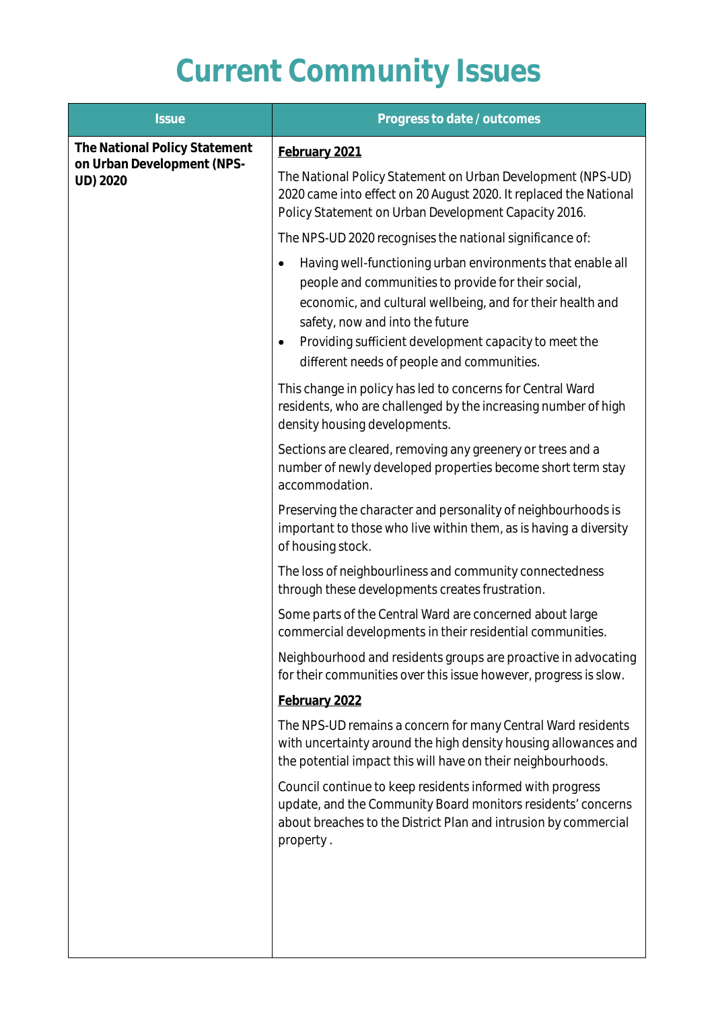# **Current Community Issues**

| <b>Issue</b>                                                            | Progress to date / outcomes                                                                                                                                                                                                                                                                                                                 |
|-------------------------------------------------------------------------|---------------------------------------------------------------------------------------------------------------------------------------------------------------------------------------------------------------------------------------------------------------------------------------------------------------------------------------------|
| The National Policy Statement<br>on Urban Development (NPS-<br>UD) 2020 | February 2021<br>The National Policy Statement on Urban Development (NPS-UD)<br>2020 came into effect on 20 August 2020. It replaced the National<br>Policy Statement on Urban Development Capacity 2016.                                                                                                                                   |
|                                                                         | The NPS-UD 2020 recognises the national significance of:                                                                                                                                                                                                                                                                                    |
|                                                                         | Having well-functioning urban environments that enable all<br>٠<br>people and communities to provide for their social,<br>economic, and cultural wellbeing, and for their health and<br>safety, now and into the future<br>Providing sufficient development capacity to meet the<br>$\bullet$<br>different needs of people and communities. |
|                                                                         | This change in policy has led to concerns for Central Ward<br>residents, who are challenged by the increasing number of high<br>density housing developments.                                                                                                                                                                               |
|                                                                         | Sections are cleared, removing any greenery or trees and a<br>number of newly developed properties become short term stay<br>accommodation.                                                                                                                                                                                                 |
|                                                                         | Preserving the character and personality of neighbourhoods is<br>important to those who live within them, as is having a diversity<br>of housing stock.                                                                                                                                                                                     |
|                                                                         | The loss of neighbourliness and community connectedness<br>through these developments creates frustration.                                                                                                                                                                                                                                  |
|                                                                         | Some parts of the Central Ward are concerned about large<br>commercial developments in their residential communities.                                                                                                                                                                                                                       |
|                                                                         | Neighbourhood and residents groups are proactive in advocating<br>for their communities over this issue however, progress is slow.                                                                                                                                                                                                          |
|                                                                         | February 2022                                                                                                                                                                                                                                                                                                                               |
|                                                                         | The NPS-UD remains a concern for many Central Ward residents<br>with uncertainty around the high density housing allowances and<br>the potential impact this will have on their neighbourhoods.                                                                                                                                             |
|                                                                         | Council continue to keep residents informed with progress<br>update, and the Community Board monitors residents' concerns<br>about breaches to the District Plan and intrusion by commercial<br>property.                                                                                                                                   |
|                                                                         |                                                                                                                                                                                                                                                                                                                                             |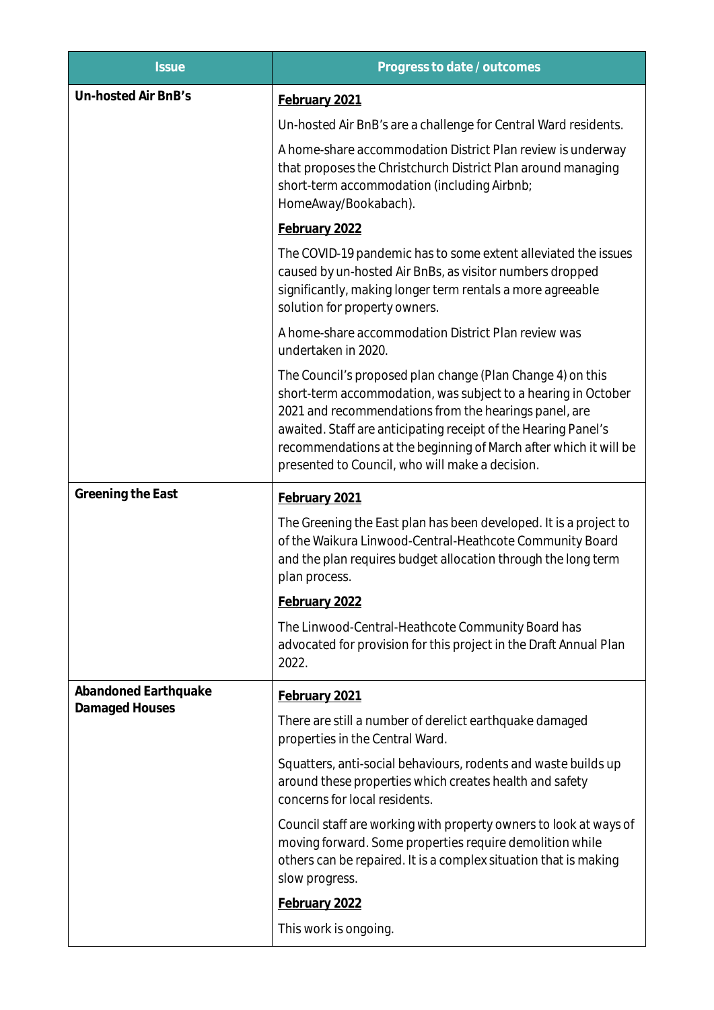| <b>Issue</b>                           | Progress to date / outcomes                                                                                                                                                                                                                                                                                                                                                   |
|----------------------------------------|-------------------------------------------------------------------------------------------------------------------------------------------------------------------------------------------------------------------------------------------------------------------------------------------------------------------------------------------------------------------------------|
| Un-hosted Air BnB's                    | February 2021                                                                                                                                                                                                                                                                                                                                                                 |
|                                        | Un-hosted Air BnB's are a challenge for Central Ward residents.                                                                                                                                                                                                                                                                                                               |
|                                        | A home-share accommodation District Plan review is underway<br>that proposes the Christchurch District Plan around managing<br>short-term accommodation (including Airbnb;<br>HomeAway/Bookabach).                                                                                                                                                                            |
|                                        | February 2022                                                                                                                                                                                                                                                                                                                                                                 |
|                                        | The COVID-19 pandemic has to some extent alleviated the issues<br>caused by un-hosted Air BnBs, as visitor numbers dropped<br>significantly, making longer term rentals a more agreeable<br>solution for property owners.                                                                                                                                                     |
|                                        | A home-share accommodation District Plan review was<br>undertaken in 2020.                                                                                                                                                                                                                                                                                                    |
|                                        | The Council's proposed plan change (Plan Change 4) on this<br>short-term accommodation, was subject to a hearing in October<br>2021 and recommendations from the hearings panel, are<br>awaited. Staff are anticipating receipt of the Hearing Panel's<br>recommendations at the beginning of March after which it will be<br>presented to Council, who will make a decision. |
| Greening the East                      | February 2021                                                                                                                                                                                                                                                                                                                                                                 |
|                                        | The Greening the East plan has been developed. It is a project to<br>of the Waikura Linwood-Central-Heathcote Community Board<br>and the plan requires budget allocation through the long term<br>plan process.                                                                                                                                                               |
|                                        | February 2022                                                                                                                                                                                                                                                                                                                                                                 |
|                                        | The Linwood-Central-Heathcote Community Board has<br>advocated for provision for this project in the Draft Annual Plan<br>2022.                                                                                                                                                                                                                                               |
| Abandoned Earthquake<br>Damaged Houses | February 2021                                                                                                                                                                                                                                                                                                                                                                 |
|                                        | There are still a number of derelict earthquake damaged<br>properties in the Central Ward.                                                                                                                                                                                                                                                                                    |
|                                        | Squatters, anti-social behaviours, rodents and waste builds up<br>around these properties which creates health and safety<br>concerns for local residents.                                                                                                                                                                                                                    |
|                                        | Council staff are working with property owners to look at ways of<br>moving forward. Some properties require demolition while<br>others can be repaired. It is a complex situation that is making<br>slow progress.                                                                                                                                                           |
|                                        | February 2022                                                                                                                                                                                                                                                                                                                                                                 |
|                                        | This work is ongoing.                                                                                                                                                                                                                                                                                                                                                         |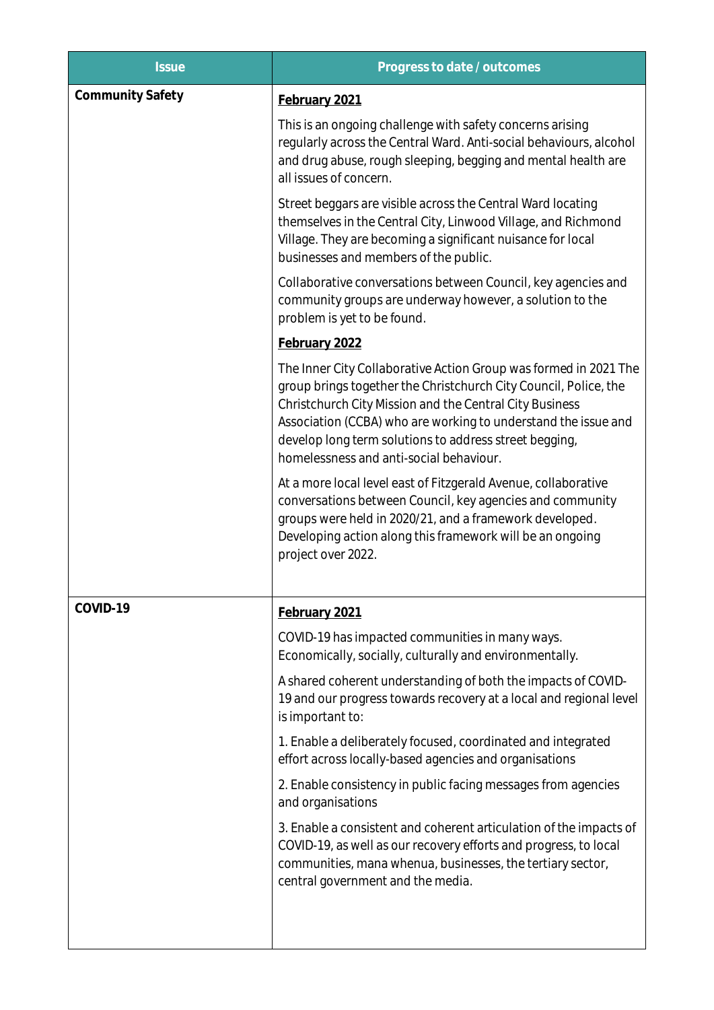| <b>Issue</b>            | Progress to date / outcomes                                                                                                                                                                                                                                                                                                                                            |
|-------------------------|------------------------------------------------------------------------------------------------------------------------------------------------------------------------------------------------------------------------------------------------------------------------------------------------------------------------------------------------------------------------|
| <b>Community Safety</b> | February 2021                                                                                                                                                                                                                                                                                                                                                          |
|                         | This is an ongoing challenge with safety concerns arising<br>regularly across the Central Ward. Anti-social behaviours, alcohol<br>and drug abuse, rough sleeping, begging and mental health are<br>all issues of concern.                                                                                                                                             |
|                         | Street beggars are visible across the Central Ward locating<br>themselves in the Central City, Linwood Village, and Richmond<br>Village. They are becoming a significant nuisance for local<br>businesses and members of the public.                                                                                                                                   |
|                         | Collaborative conversations between Council, key agencies and<br>community groups are underway however, a solution to the<br>problem is yet to be found.                                                                                                                                                                                                               |
|                         | February 2022                                                                                                                                                                                                                                                                                                                                                          |
|                         | The Inner City Collaborative Action Group was formed in 2021 The<br>group brings together the Christchurch City Council, Police, the<br>Christchurch City Mission and the Central City Business<br>Association (CCBA) who are working to understand the issue and<br>develop long term solutions to address street begging,<br>homelessness and anti-social behaviour. |
|                         | At a more local level east of Fitzgerald Avenue, collaborative<br>conversations between Council, key agencies and community<br>groups were held in 2020/21, and a framework developed.<br>Developing action along this framework will be an ongoing<br>project over 2022.                                                                                              |
| COVID-19                | February 2021                                                                                                                                                                                                                                                                                                                                                          |
|                         | COVID-19 has impacted communities in many ways.<br>Economically, socially, culturally and environmentally.                                                                                                                                                                                                                                                             |
|                         | A shared coherent understanding of both the impacts of COVID-<br>19 and our progress towards recovery at a local and regional level<br>is important to:                                                                                                                                                                                                                |
|                         | 1. Enable a deliberately focused, coordinated and integrated<br>effort across locally-based agencies and organisations                                                                                                                                                                                                                                                 |
|                         | 2. Enable consistency in public facing messages from agencies<br>and organisations                                                                                                                                                                                                                                                                                     |
|                         | 3. Enable a consistent and coherent articulation of the impacts of<br>COVID-19, as well as our recovery efforts and progress, to local<br>communities, mana whenua, businesses, the tertiary sector,<br>central government and the media.                                                                                                                              |
|                         |                                                                                                                                                                                                                                                                                                                                                                        |